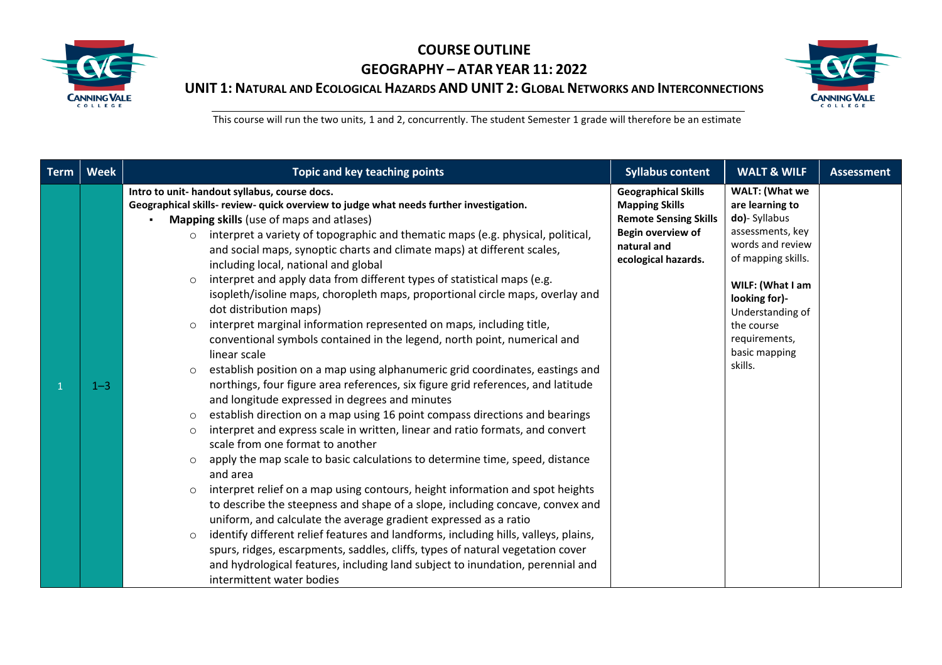



| <b>Term</b> | <b>Week</b> | Topic and key teaching points                                                                                                                                                                                                                                                                                                                                                                                                                                                                                                                                                                                                                                                                                                                                                                                                                                                                                                                                                                                                                                                                                                                                                                                                                                                                                                                                                                                                                                                                                                                                                                                                                                                                                                                                                                                                                                                                                                       | <b>Syllabus content</b>                                                                                                                        | <b>WALT &amp; WILF</b>                                                                                                                                                                                                                      | <b>Assessment</b> |
|-------------|-------------|-------------------------------------------------------------------------------------------------------------------------------------------------------------------------------------------------------------------------------------------------------------------------------------------------------------------------------------------------------------------------------------------------------------------------------------------------------------------------------------------------------------------------------------------------------------------------------------------------------------------------------------------------------------------------------------------------------------------------------------------------------------------------------------------------------------------------------------------------------------------------------------------------------------------------------------------------------------------------------------------------------------------------------------------------------------------------------------------------------------------------------------------------------------------------------------------------------------------------------------------------------------------------------------------------------------------------------------------------------------------------------------------------------------------------------------------------------------------------------------------------------------------------------------------------------------------------------------------------------------------------------------------------------------------------------------------------------------------------------------------------------------------------------------------------------------------------------------------------------------------------------------------------------------------------------------|------------------------------------------------------------------------------------------------------------------------------------------------|---------------------------------------------------------------------------------------------------------------------------------------------------------------------------------------------------------------------------------------------|-------------------|
|             | $1 - 3$     | Intro to unit- handout syllabus, course docs.<br>Geographical skills-review- quick overview to judge what needs further investigation.<br><b>Mapping skills</b> (use of maps and atlases)<br>$\blacksquare$<br>interpret a variety of topographic and thematic maps (e.g. physical, political,<br>$\circ$<br>and social maps, synoptic charts and climate maps) at different scales,<br>including local, national and global<br>interpret and apply data from different types of statistical maps (e.g.<br>$\circ$<br>isopleth/isoline maps, choropleth maps, proportional circle maps, overlay and<br>dot distribution maps)<br>interpret marginal information represented on maps, including title,<br>$\circ$<br>conventional symbols contained in the legend, north point, numerical and<br>linear scale<br>establish position on a map using alphanumeric grid coordinates, eastings and<br>$\circ$<br>northings, four figure area references, six figure grid references, and latitude<br>and longitude expressed in degrees and minutes<br>establish direction on a map using 16 point compass directions and bearings<br>$\circ$<br>interpret and express scale in written, linear and ratio formats, and convert<br>$\circ$<br>scale from one format to another<br>apply the map scale to basic calculations to determine time, speed, distance<br>$\circ$<br>and area<br>interpret relief on a map using contours, height information and spot heights<br>$\circ$<br>to describe the steepness and shape of a slope, including concave, convex and<br>uniform, and calculate the average gradient expressed as a ratio<br>identify different relief features and landforms, including hills, valleys, plains,<br>$\circ$<br>spurs, ridges, escarpments, saddles, cliffs, types of natural vegetation cover<br>and hydrological features, including land subject to inundation, perennial and<br>intermittent water bodies | <b>Geographical Skills</b><br><b>Mapping Skills</b><br><b>Remote Sensing Skills</b><br>Begin overview of<br>natural and<br>ecological hazards. | <b>WALT: (What we</b><br>are learning to<br>do)- Syllabus<br>assessments, key<br>words and review<br>of mapping skills.<br>WILF: (What I am<br>looking for)-<br>Understanding of<br>the course<br>requirements,<br>basic mapping<br>skills. |                   |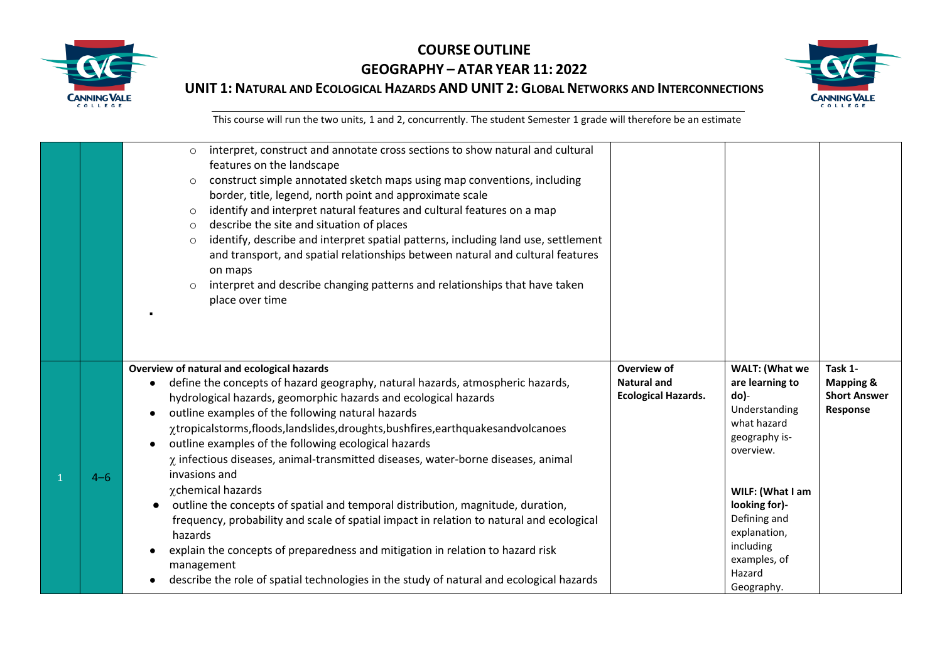



|         | interpret, construct and annotate cross sections to show natural and cultural<br>$\circ$<br>features on the landscape<br>construct simple annotated sketch maps using map conventions, including<br>$\circ$<br>border, title, legend, north point and approximate scale<br>identify and interpret natural features and cultural features on a map<br>$\circ$<br>describe the site and situation of places<br>$\circ$<br>identify, describe and interpret spatial patterns, including land use, settlement<br>$\circ$<br>and transport, and spatial relationships between natural and cultural features<br>on maps<br>interpret and describe changing patterns and relationships that have taken<br>$\circ$<br>place over time                                                                                                                                                                                           |                                                                 |                                                                                                                                                                                                                                          |                                                                    |
|---------|-------------------------------------------------------------------------------------------------------------------------------------------------------------------------------------------------------------------------------------------------------------------------------------------------------------------------------------------------------------------------------------------------------------------------------------------------------------------------------------------------------------------------------------------------------------------------------------------------------------------------------------------------------------------------------------------------------------------------------------------------------------------------------------------------------------------------------------------------------------------------------------------------------------------------|-----------------------------------------------------------------|------------------------------------------------------------------------------------------------------------------------------------------------------------------------------------------------------------------------------------------|--------------------------------------------------------------------|
| $4 - 6$ | Overview of natural and ecological hazards<br>define the concepts of hazard geography, natural hazards, atmospheric hazards,<br>hydrological hazards, geomorphic hazards and ecological hazards<br>outline examples of the following natural hazards<br>xtropicalstorms, floods, landslides, droughts, bushfires, earthquakes andvolcanoes<br>outline examples of the following ecological hazards<br>$\chi$ infectious diseases, animal-transmitted diseases, water-borne diseases, animal<br>invasions and<br>χchemical hazards<br>outline the concepts of spatial and temporal distribution, magnitude, duration,<br>frequency, probability and scale of spatial impact in relation to natural and ecological<br>hazards<br>explain the concepts of preparedness and mitigation in relation to hazard risk<br>management<br>describe the role of spatial technologies in the study of natural and ecological hazards | Overview of<br><b>Natural and</b><br><b>Ecological Hazards.</b> | <b>WALT: (What we</b><br>are learning to<br>do)-<br>Understanding<br>what hazard<br>geography is-<br>overview.<br>WILF: (What I am<br>looking for)-<br>Defining and<br>explanation,<br>including<br>examples, of<br>Hazard<br>Geography. | Task 1-<br><b>Mapping &amp;</b><br><b>Short Answer</b><br>Response |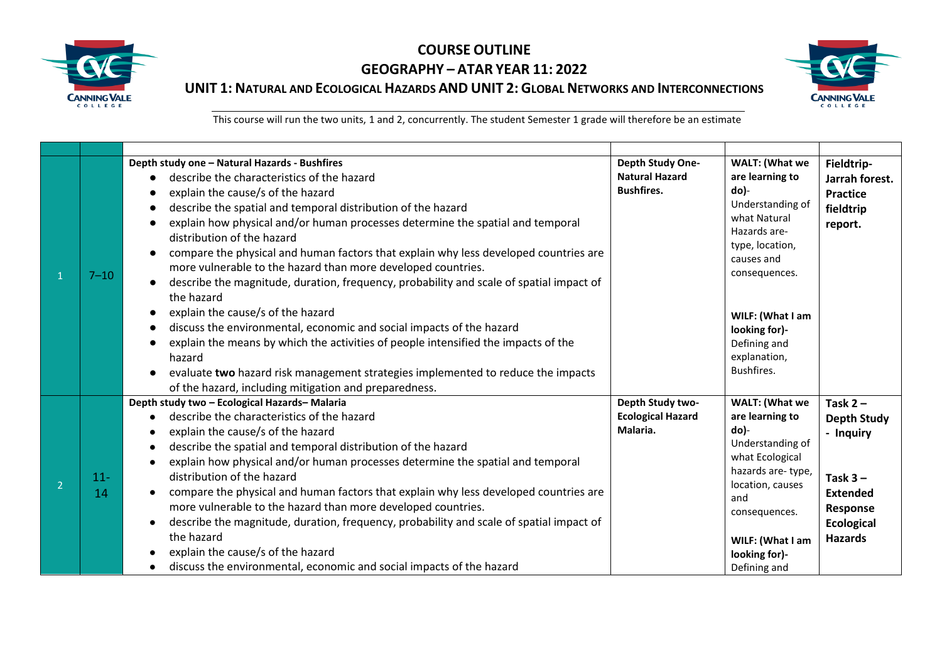

# **COURSE OUTLINE GEOGRAPHY – ATAR YEAR 11: 2022**



**UNIT 1: NATURAL AND ECOLOGICAL HAZARDS AND UNIT 2: GLOBAL NETWORKS AND INTERCONNECTIONS** 

| $7 - 10$     | Depth study one - Natural Hazards - Bushfires<br>describe the characteristics of the hazard<br>explain the cause/s of the hazard<br>describe the spatial and temporal distribution of the hazard<br>explain how physical and/or human processes determine the spatial and temporal<br>distribution of the hazard<br>compare the physical and human factors that explain why less developed countries are<br>more vulnerable to the hazard than more developed countries.<br>describe the magnitude, duration, frequency, probability and scale of spatial impact of<br>the hazard                                                                                                             | Depth Study One-<br><b>Natural Hazard</b><br><b>Bushfires.</b> | WALT: (What we<br>are learning to<br>$do$ )-<br>Understanding of<br>what Natural<br>Hazards are-<br>type, location,<br>causes and<br>consequences.                                                        | Fieldtrip-<br>Jarrah forest.<br><b>Practice</b><br>fieldtrip<br>report.                                                           |
|--------------|-----------------------------------------------------------------------------------------------------------------------------------------------------------------------------------------------------------------------------------------------------------------------------------------------------------------------------------------------------------------------------------------------------------------------------------------------------------------------------------------------------------------------------------------------------------------------------------------------------------------------------------------------------------------------------------------------|----------------------------------------------------------------|-----------------------------------------------------------------------------------------------------------------------------------------------------------------------------------------------------------|-----------------------------------------------------------------------------------------------------------------------------------|
|              | explain the cause/s of the hazard<br>discuss the environmental, economic and social impacts of the hazard<br>explain the means by which the activities of people intensified the impacts of the<br>hazard<br>evaluate two hazard risk management strategies implemented to reduce the impacts<br>of the hazard, including mitigation and preparedness.                                                                                                                                                                                                                                                                                                                                        |                                                                | WILF: (What I am<br>looking for)-<br>Defining and<br>explanation,<br>Bushfires.                                                                                                                           |                                                                                                                                   |
| $11 -$<br>14 | Depth study two - Ecological Hazards-Malaria<br>describe the characteristics of the hazard<br>explain the cause/s of the hazard<br>describe the spatial and temporal distribution of the hazard<br>explain how physical and/or human processes determine the spatial and temporal<br>distribution of the hazard<br>compare the physical and human factors that explain why less developed countries are<br>more vulnerable to the hazard than more developed countries.<br>describe the magnitude, duration, frequency, probability and scale of spatial impact of<br>the hazard<br>explain the cause/s of the hazard<br>discuss the environmental, economic and social impacts of the hazard | Depth Study two-<br><b>Ecological Hazard</b><br>Malaria.       | WALT: (What we<br>are learning to<br>$do$ )-<br>Understanding of<br>what Ecological<br>hazards are-type,<br>location, causes<br>and<br>consequences.<br>WILF: (What I am<br>looking for)-<br>Defining and | Task $2 -$<br><b>Depth Study</b><br>- Inquiry<br>Task $3 -$<br><b>Extended</b><br>Response<br><b>Ecological</b><br><b>Hazards</b> |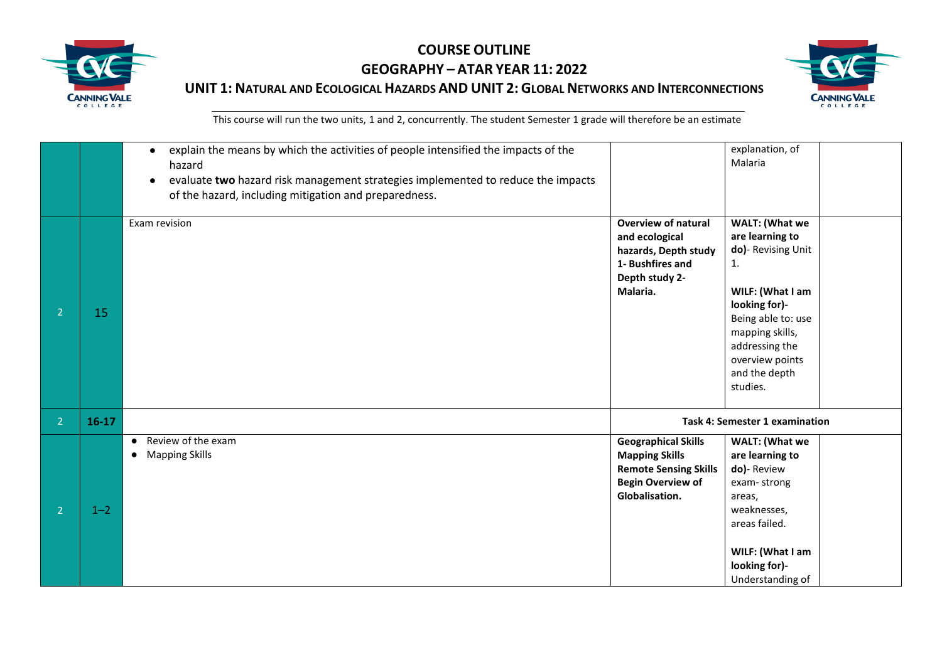



|                |         | explain the means by which the activities of people intensified the impacts of the<br>$\bullet$<br>hazard<br>evaluate two hazard risk management strategies implemented to reduce the impacts<br>of the hazard, including mitigation and preparedness. |                                                                                                                                   | explanation, of<br>Malaria                                                                                                                                                                                           |
|----------------|---------|--------------------------------------------------------------------------------------------------------------------------------------------------------------------------------------------------------------------------------------------------------|-----------------------------------------------------------------------------------------------------------------------------------|----------------------------------------------------------------------------------------------------------------------------------------------------------------------------------------------------------------------|
| $\overline{2}$ | 15      | Exam revision                                                                                                                                                                                                                                          | <b>Overview of natural</b><br>and ecological<br>hazards, Depth study<br>1- Bushfires and<br>Depth study 2-<br>Malaria.            | <b>WALT: (What we</b><br>are learning to<br>do)- Revising Unit<br>1.<br>WILF: (What I am<br>looking for)-<br>Being able to: use<br>mapping skills,<br>addressing the<br>overview points<br>and the depth<br>studies. |
| 2 <sup>1</sup> | $16-17$ |                                                                                                                                                                                                                                                        |                                                                                                                                   | <b>Task 4: Semester 1 examination</b>                                                                                                                                                                                |
| $\mathcal{L}$  | $1 - 2$ | • Review of the exam<br>• Mapping Skills                                                                                                                                                                                                               | <b>Geographical Skills</b><br><b>Mapping Skills</b><br><b>Remote Sensing Skills</b><br><b>Begin Overview of</b><br>Globalisation. | <b>WALT: (What we</b><br>are learning to<br>do)-Review<br>exam-strong<br>areas,<br>weaknesses,<br>areas failed.<br>WILF: (What I am<br>looking for)-<br>Understanding of                                             |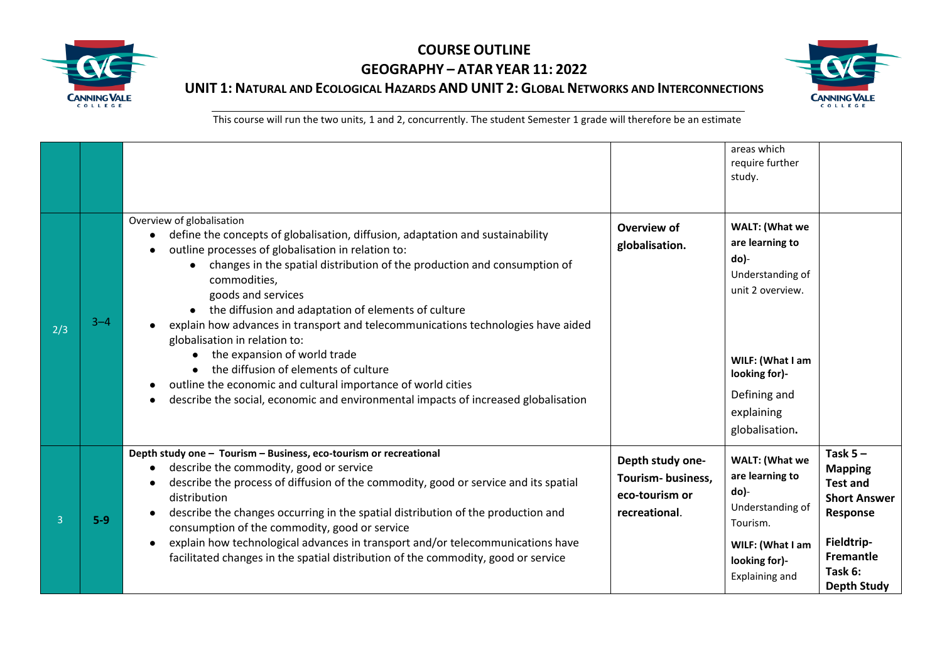



|     |         |                                                                                                                                                                                                                                                                                                                                                                                                                                                                                                                                                                                                                                                                                                                                                   |                                                                          | areas which<br>require further<br>study.                                                                                                                               |                                                                                                                                                       |
|-----|---------|---------------------------------------------------------------------------------------------------------------------------------------------------------------------------------------------------------------------------------------------------------------------------------------------------------------------------------------------------------------------------------------------------------------------------------------------------------------------------------------------------------------------------------------------------------------------------------------------------------------------------------------------------------------------------------------------------------------------------------------------------|--------------------------------------------------------------------------|------------------------------------------------------------------------------------------------------------------------------------------------------------------------|-------------------------------------------------------------------------------------------------------------------------------------------------------|
| 2/3 | $3 - 4$ | Overview of globalisation<br>define the concepts of globalisation, diffusion, adaptation and sustainability<br>$\bullet$<br>outline processes of globalisation in relation to:<br>$\bullet$<br>changes in the spatial distribution of the production and consumption of<br>commodities,<br>goods and services<br>the diffusion and adaptation of elements of culture<br>explain how advances in transport and telecommunications technologies have aided<br>globalisation in relation to:<br>the expansion of world trade<br>$\bullet$<br>the diffusion of elements of culture<br>outline the economic and cultural importance of world cities<br>$\bullet$<br>describe the social, economic and environmental impacts of increased globalisation | Overview of<br>globalisation.                                            | WALT: (What we<br>are learning to<br>do)-<br>Understanding of<br>unit 2 overview.<br>WILF: (What I am<br>looking for)-<br>Defining and<br>explaining<br>globalisation. |                                                                                                                                                       |
| 3   | $5-9$   | Depth study one - Tourism - Business, eco-tourism or recreational<br>describe the commodity, good or service<br>$\bullet$<br>describe the process of diffusion of the commodity, good or service and its spatial<br>$\bullet$<br>distribution<br>describe the changes occurring in the spatial distribution of the production and<br>$\bullet$<br>consumption of the commodity, good or service<br>explain how technological advances in transport and/or telecommunications have<br>$\bullet$<br>facilitated changes in the spatial distribution of the commodity, good or service                                                                                                                                                               | Depth study one-<br>Tourism-business,<br>eco-tourism or<br>recreational. | <b>WALT: (What we</b><br>are learning to<br>do)-<br>Understanding of<br>Tourism.<br>WILF: (What I am<br>looking for)-<br>Explaining and                                | Task $5 -$<br><b>Mapping</b><br><b>Test and</b><br><b>Short Answer</b><br>Response<br>Fieldtrip-<br><b>Fremantle</b><br>Task 6:<br><b>Depth Study</b> |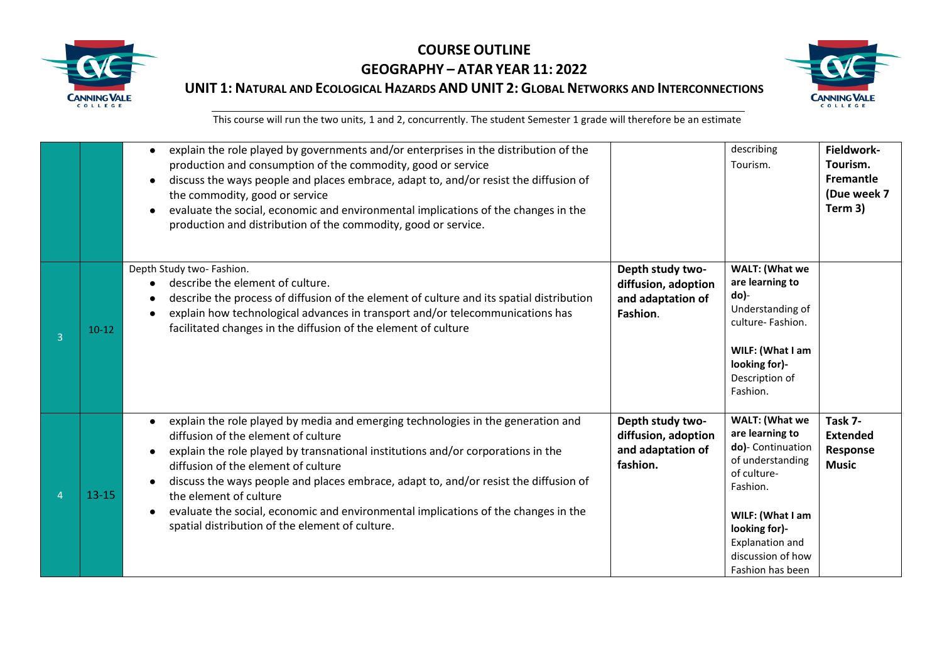



|   |           | explain the role played by governments and/or enterprises in the distribution of the<br>$\bullet$<br>production and consumption of the commodity, good or service<br>discuss the ways people and places embrace, adapt to, and/or resist the diffusion of<br>$\bullet$<br>the commodity, good or service<br>evaluate the social, economic and environmental implications of the changes in the<br>production and distribution of the commodity, good or service.                                                           |                                                                          | describing<br>Tourism.                                                                                                                                                                                        | Fieldwork-<br>Tourism.<br><b>Fremantle</b><br>(Due week 7<br>Term 3) |
|---|-----------|----------------------------------------------------------------------------------------------------------------------------------------------------------------------------------------------------------------------------------------------------------------------------------------------------------------------------------------------------------------------------------------------------------------------------------------------------------------------------------------------------------------------------|--------------------------------------------------------------------------|---------------------------------------------------------------------------------------------------------------------------------------------------------------------------------------------------------------|----------------------------------------------------------------------|
| 3 | $10-12$   | Depth Study two- Fashion.<br>describe the element of culture.<br>describe the process of diffusion of the element of culture and its spatial distribution<br>explain how technological advances in transport and/or telecommunications has<br>facilitated changes in the diffusion of the element of culture                                                                                                                                                                                                               | Depth study two-<br>diffusion, adoption<br>and adaptation of<br>Fashion. | <b>WALT: (What we</b><br>are learning to<br>do)-<br>Understanding of<br>culture-Fashion.<br>WILF: (What I am<br>looking for)-<br>Description of<br>Fashion.                                                   |                                                                      |
|   | $13 - 15$ | explain the role played by media and emerging technologies in the generation and<br>$\bullet$<br>diffusion of the element of culture<br>explain the role played by transnational institutions and/or corporations in the<br>diffusion of the element of culture<br>discuss the ways people and places embrace, adapt to, and/or resist the diffusion of<br>the element of culture<br>evaluate the social, economic and environmental implications of the changes in the<br>spatial distribution of the element of culture. | Depth study two-<br>diffusion, adoption<br>and adaptation of<br>fashion. | <b>WALT: (What we</b><br>are learning to<br>do)- Continuation<br>of understanding<br>of culture-<br>Fashion.<br>WILF: (What I am<br>looking for)-<br>Explanation and<br>discussion of how<br>Fashion has been | Task 7-<br><b>Extended</b><br>Response<br><b>Music</b>               |